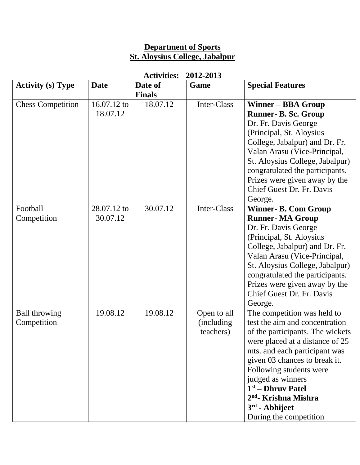### **Department of Sports St. Aloysius College, Jabalpur**

| <b>Activities:</b><br>2012-2013     |                         |                           |                                         |                                                                                                                                                                                                                                                                                                                                                                 |
|-------------------------------------|-------------------------|---------------------------|-----------------------------------------|-----------------------------------------------------------------------------------------------------------------------------------------------------------------------------------------------------------------------------------------------------------------------------------------------------------------------------------------------------------------|
| <b>Activity (s) Type</b>            | <b>Date</b>             | Date of                   | Game                                    | <b>Special Features</b>                                                                                                                                                                                                                                                                                                                                         |
| <b>Chess Competition</b>            | 16.07.12 to<br>18.07.12 | <b>Finals</b><br>18.07.12 | Inter-Class                             | Winner – BBA Group<br><b>Runner- B. Sc. Group</b><br>Dr. Fr. Davis George<br>(Principal, St. Aloysius<br>College, Jabalpur) and Dr. Fr.<br>Valan Arasu (Vice-Principal,<br>St. Aloysius College, Jabalpur)<br>congratulated the participants.<br>Prizes were given away by the<br>Chief Guest Dr. Fr. Davis<br>George.                                          |
| Football<br>Competition             | 28.07.12 to<br>30.07.12 | 30.07.12                  | Inter-Class                             | <b>Winner-B. Com Group</b><br><b>Runner-MA Group</b><br>Dr. Fr. Davis George<br>(Principal, St. Aloysius<br>College, Jabalpur) and Dr. Fr.<br>Valan Arasu (Vice-Principal,<br>St. Aloysius College, Jabalpur)<br>congratulated the participants.<br>Prizes were given away by the<br>Chief Guest Dr. Fr. Davis<br>George.                                       |
| <b>Ball throwing</b><br>Competition | 19.08.12                | 19.08.12                  | Open to all<br>(including)<br>teachers) | The competition was held to<br>test the aim and concentration<br>of the participants. The wickets<br>were placed at a distance of 25<br>mts. and each participant was<br>given 03 chances to break it.<br>Following students were<br>judged as winners<br>$1st$ – Dhruv Patel<br>2 <sup>nd</sup> - Krishna Mishra<br>$3rd$ - Abhijeet<br>During the competition |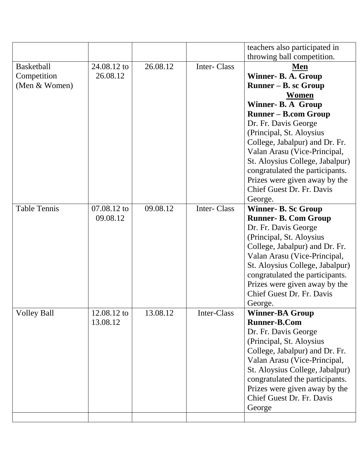|                     |             |          |             | teachers also participated in   |
|---------------------|-------------|----------|-------------|---------------------------------|
|                     |             |          |             | throwing ball competition.      |
| <b>Basketball</b>   | 24.08.12 to | 26.08.12 | Inter-Class | <b>Men</b>                      |
| Competition         | 26.08.12    |          |             | Winner- B. A. Group             |
| (Men & Women)       |             |          |             | $Runner - B.$ sc $Group$        |
|                     |             |          |             | Women                           |
|                     |             |          |             | Winner- B. A Group              |
|                     |             |          |             | <b>Runner – B.com Group</b>     |
|                     |             |          |             | Dr. Fr. Davis George            |
|                     |             |          |             | (Principal, St. Aloysius        |
|                     |             |          |             | College, Jabalpur) and Dr. Fr.  |
|                     |             |          |             | Valan Arasu (Vice-Principal,    |
|                     |             |          |             | St. Aloysius College, Jabalpur) |
|                     |             |          |             | congratulated the participants. |
|                     |             |          |             | Prizes were given away by the   |
|                     |             |          |             | Chief Guest Dr. Fr. Davis       |
|                     |             |          |             | George.                         |
| <b>Table Tennis</b> | 07.08.12 to | 09.08.12 | Inter-Class | <b>Winner- B. Sc Group</b>      |
|                     | 09.08.12    |          |             | <b>Runner- B. Com Group</b>     |
|                     |             |          |             | Dr. Fr. Davis George            |
|                     |             |          |             | (Principal, St. Aloysius        |
|                     |             |          |             | College, Jabalpur) and Dr. Fr.  |
|                     |             |          |             | Valan Arasu (Vice-Principal,    |
|                     |             |          |             | St. Aloysius College, Jabalpur) |
|                     |             |          |             | congratulated the participants. |
|                     |             |          |             | Prizes were given away by the   |
|                     |             |          |             | Chief Guest Dr. Fr. Davis       |
|                     |             |          |             | George.                         |
| <b>Volley Ball</b>  | 12.08.12 to | 13.08.12 | Inter-Class | <b>Winner-BA Group</b>          |
|                     | 13.08.12    |          |             | <b>Runner-B.Com</b>             |
|                     |             |          |             | Dr. Fr. Davis George            |
|                     |             |          |             | (Principal, St. Aloysius        |
|                     |             |          |             | College, Jabalpur) and Dr. Fr.  |
|                     |             |          |             | Valan Arasu (Vice-Principal,    |
|                     |             |          |             | St. Aloysius College, Jabalpur) |
|                     |             |          |             | congratulated the participants. |
|                     |             |          |             | Prizes were given away by the   |
|                     |             |          |             | Chief Guest Dr. Fr. Davis       |
|                     |             |          |             | George                          |
|                     |             |          |             |                                 |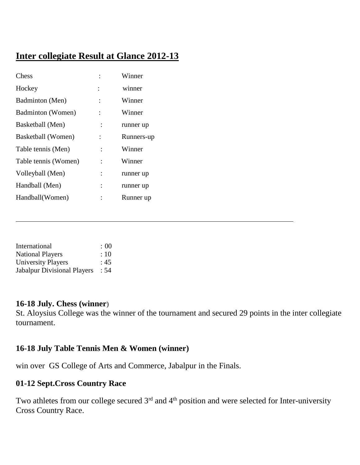# **Inter collegiate Result at Glance 2012-13**

| Chess                |                | Winner     |
|----------------------|----------------|------------|
| Hockey               |                | winner     |
| Badminton (Men)      | $\ddot{\cdot}$ | Winner     |
| Badminton (Women)    | $\ddot{\cdot}$ | Winner     |
| Basketball (Men)     | $\ddot{\cdot}$ | runner up  |
| Basketball (Women)   | $\ddot{\cdot}$ | Runners-up |
| Table tennis (Men)   | $\ddot{\cdot}$ | Winner     |
| Table tennis (Women) |                | Winner     |
| Volleyball (Men)     |                | runner up  |
| Handball (Men)       | $\ddot{\cdot}$ | runner up  |
| Handball(Women)      |                | Runner up  |

| International                      | : 00 |
|------------------------------------|------|
| <b>National Players</b>            | :10  |
| <b>University Players</b>          | :45  |
| <b>Jabalpur Divisional Players</b> | : 54 |

#### **16-18 July. Chess (winner**)

St. Aloysius College was the winner of the tournament and secured 29 points in the inter collegiate tournament.

#### **16-18 July Table Tennis Men & Women (winner)**

win over GS College of Arts and Commerce, Jabalpur in the Finals.

#### **01-12 Sept.Cross Country Race**

Two athletes from our college secured 3<sup>rd</sup> and 4<sup>th</sup> position and were selected for Inter-university Cross Country Race.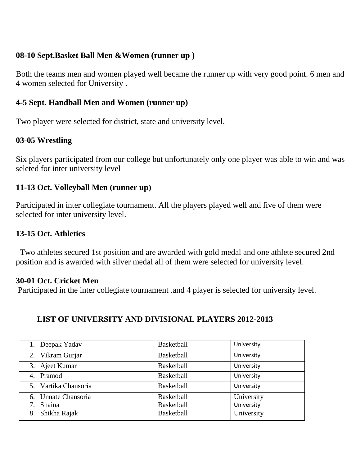### **08-10 Sept.Basket Ball Men &Women (runner up )**

Both the teams men and women played well became the runner up with very good point. 6 men and 4 women selected for University .

### **4-5 Sept. Handball Men and Women (runner up)**

Two player were selected for district, state and university level.

### **03-05 Wrestling**

Six players participated from our college but unfortunately only one player was able to win and was seleted for inter university level

#### **11-13 Oct. Volleyball Men (runner up)**

Participated in inter collegiate tournament. All the players played well and five of them were selected for inter university level.

#### **13-15 Oct. Athletics**

Two athletes secured 1st position and are awarded with gold medal and one athlete secured 2nd position and is awarded with silver medal all of them were selected for university level.

#### **30-01 Oct. Cricket Men**

Participated in the inter collegiate tournament .and 4 player is selected for university level.

### **LIST OF UNIVERSITY AND DIVISIONAL PLAYERS 2012-2013**

| 1. Deepak Yadav      | <b>Basketball</b> | University |
|----------------------|-------------------|------------|
| 2. Vikram Gurjar     | <b>Basketball</b> | University |
| 3. Ajeet Kumar       | <b>Basketball</b> | University |
| 4. Pramod            | <b>Basketball</b> | University |
| 5. Vartika Chansoria | <b>Basketball</b> | University |
| 6. Unnate Chansoria  | <b>Basketball</b> | University |
| Shaina               | Basketball        | University |
| Shikha Rajak<br>8.   | Basketball        | University |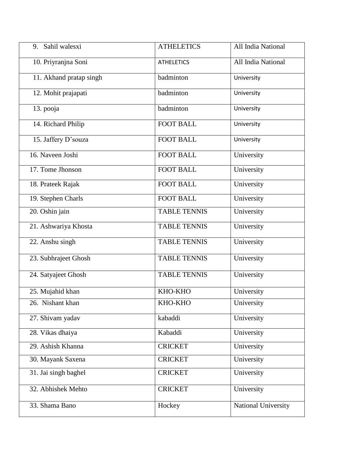| Sahil walesxi<br>9.     | <b>ATHELETICS</b>   | All India National  |
|-------------------------|---------------------|---------------------|
| 10. Priyranjna Soni     | <b>ATHELETICS</b>   | All India National  |
| 11. Akhand pratap singh | badminton           | University          |
| 12. Mohit prajapati     | badminton           | University          |
| 13. pooja               | badminton           | University          |
| 14. Richard Philip      | <b>FOOT BALL</b>    | University          |
| 15. Jaffery D'souza     | <b>FOOT BALL</b>    | University          |
| 16. Naveen Joshi        | <b>FOOT BALL</b>    | University          |
| 17. Tome Jhonson        | <b>FOOT BALL</b>    | University          |
| 18. Prateek Rajak       | <b>FOOT BALL</b>    | University          |
| 19. Stephen Charls      | <b>FOOT BALL</b>    | University          |
| 20. Oshin jain          | <b>TABLE TENNIS</b> | University          |
| 21. Ashwariya Khosta    | <b>TABLE TENNIS</b> | University          |
| 22. Anshu singh         | <b>TABLE TENNIS</b> | University          |
| 23. Subhrajeet Ghosh    | <b>TABLE TENNIS</b> | University          |
| 24. Satyajeet Ghosh     | <b>TABLE TENNIS</b> | University          |
| 25. Mujahid khan        | KHO-KHO             | University          |
| 26. Nishant khan        | KHO-KHO             | University          |
| 27. Shivam yadav        | kabaddi             | University          |
| 28. Vikas dhaiya        | Kabaddi             | University          |
| 29. Ashish Khanna       | <b>CRICKET</b>      | University          |
| 30. Mayank Saxena       | <b>CRICKET</b>      | University          |
| 31. Jai singh baghel    | <b>CRICKET</b>      | University          |
| 32. Abhishek Mehto      | <b>CRICKET</b>      | University          |
| 33. Shama Bano          | Hockey              | National University |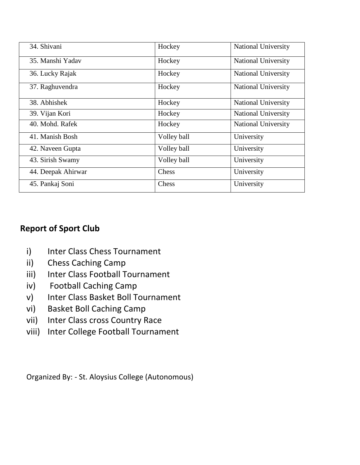| 34. Shivani        | Hockey      | National University        |
|--------------------|-------------|----------------------------|
| 35. Manshi Yadav   | Hockey      | <b>National University</b> |
| 36. Lucky Rajak    | Hockey      | <b>National University</b> |
| 37. Raghuvendra    | Hockey      | <b>National University</b> |
| 38. Abhishek       | Hockey      | <b>National University</b> |
| 39. Vijan Kori     | Hockey      | <b>National University</b> |
| 40. Mohd. Rafek    | Hockey      | <b>National University</b> |
| 41. Manish Bosh    | Volley ball | University                 |
| 42. Naveen Gupta   | Volley ball | University                 |
| 43. Sirish Swamy   | Volley ball | University                 |
| 44. Deepak Ahirwar | Chess       | University                 |
| 45. Pankaj Soni    | Chess       | University                 |

### **Report of Sport Club**

- i) Inter Class Chess Tournament
- ii) Chess Caching Camp
- iii) Inter Class Football Tournament
- iv) Football Caching Camp
- v) Inter Class Basket Boll Tournament
- vi) Basket Boll Caching Camp
- vii) Inter Class cross Country Race
- viii) Inter College Football Tournament

Organized By: - St. Aloysius College (Autonomous)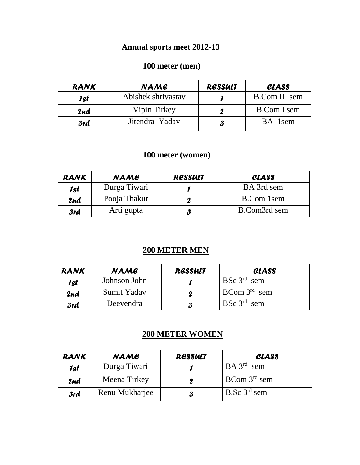## **Annual sports meet 2012-13**

## **100 meter (men)**

| <b>RANK</b> | <b>NAME</b>        | <b>RESSULT</b> | <b>CLASS</b>         |
|-------------|--------------------|----------------|----------------------|
| 1st         | Abishek shrivastav |                | <b>B.Com III sem</b> |
| 2nd         | Vipin Tirkey       |                | <b>B.Com I sem</b>   |
| 3rd         | Jitendra Yadav     | 3              | BA 1sem              |

### **100 meter (women)**

| <b>RANK</b> | NAME         | <b>RESSULT</b> | <b>CLASS</b>      |
|-------------|--------------|----------------|-------------------|
| 1st         | Durga Tiwari |                | BA 3rd sem        |
| 2nd         | Pooja Thakur |                | <b>B.Com</b> 1sem |
| 3rd         | Arti gupta   |                | B.Com3rd sem      |

## **200 METER MEN**

| <b>RANK</b> | NAME         | <b>RESSULT</b> | <b>CLASS</b>     |
|-------------|--------------|----------------|------------------|
| 1st         | Johnson John |                | BSc $3^{rd}$ sem |
| 2nd         | Sumit Yadav  |                | $BCom 3rd$ sem   |
| 3rd         | Deevendra    |                | BSc $3^{rd}$ sem |

### **200 METER WOMEN**

| <b>RANK</b> | NAME           | <b>RESSULT</b> | <b>CLASS</b>      |
|-------------|----------------|----------------|-------------------|
| 1st         | Durga Tiwari   |                | $BA 3rd$ sem      |
| 2nd         | Meena Tirkey   |                | $BCom 3rd$ sem    |
| 3rd         | Renu Mukharjee |                | B.Sc $3^{rd}$ sem |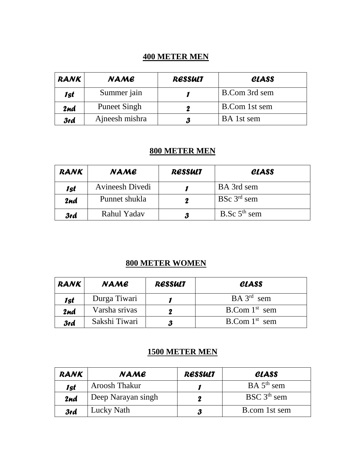## **400 METER MEN**

| <b>RANK</b> | NAME                | <b>RESSULT</b> | <b>CLASS</b>         |
|-------------|---------------------|----------------|----------------------|
| 1st         | Summer jain         |                | B.Com 3rd sem        |
| 2nd         | <b>Puneet Singh</b> |                | <b>B.Com</b> 1st sem |
| 3rd         | Ajneesh mishra      |                | <b>BA</b> 1st sem    |

### **800 METER MEN**

| <b>RANK</b> | NAME                   | <b>RESSULT</b> | <b>CLASS</b>            |
|-------------|------------------------|----------------|-------------------------|
| 1st         | <b>Avineesh Divedi</b> |                | BA 3rd sem              |
| 2nd         | Punnet shukla          |                | BSc 3 <sup>rd</sup> sem |
| 3rd         | Rahul Yadav            |                | $B.Sc.5th$ sem          |

## **800 METER WOMEN**

| <b>RANK</b>     | <b>NAME</b>   | <b>RESSULT</b> | <b>CLASS</b>                        |
|-----------------|---------------|----------------|-------------------------------------|
| 1 <sub>st</sub> | Durga Tiwari  |                | $BA \, 3^{rd}$ sem                  |
| 2nd             | Varsha srivas |                | $B_{\cdot}$ Com 1 <sup>st</sup> sem |
| 3rd             | Sakshi Tiwari |                | $B_{\cdot}$ Com 1 <sup>st</sup> sem |

#### **1500 METER MEN**

| <b>RANK</b> | NAME               | <b>RESSULT</b> | <b>CLASS</b>  |
|-------------|--------------------|----------------|---------------|
| 1st         | Aroosh Thakur      |                | $BA 5th$ sem  |
| 2nd         | Deep Narayan singh |                | BSC $3th$ sem |
| 3rd         | Lucky Nath         | 3              | B.com 1st sem |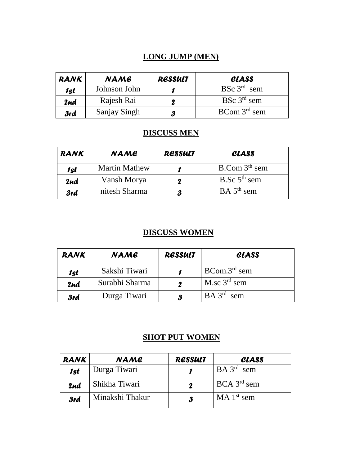## **LONG JUMP (MEN)**

| <b>RANK</b> | <b>NAME</b>         | <b>RESSULT</b> | <b>CLASS</b>     |
|-------------|---------------------|----------------|------------------|
| 1st         | Johnson John        |                | BSc $3rd$ sem    |
| 2nd         | Rajesh Rai          |                | BSc $3^{rd}$ sem |
| 3rd         | <b>Sanjay Singh</b> |                | $BCom 3rd$ sem   |

#### **DISCUSS MEN**

| <b>RANK</b>     | <b>NAME</b>          | <b>RESSULT</b> | <b>CLASS</b>               |
|-----------------|----------------------|----------------|----------------------------|
| 1 <sub>st</sub> | <b>Martin Mathew</b> |                | B. Com 3 <sup>th</sup> sem |
| 2nd             | Vansh Morya          |                | $B.Sc.5th$ sem             |
| 3rd             | nitesh Sharma        |                | $BA 5th$ sem               |

#### **DISCUSS WOMEN**

| <b>RANK</b> | NAME           | <b>RESSULT</b> | <b>CLASS</b>       |
|-------------|----------------|----------------|--------------------|
| 1st         | Sakshi Tiwari  |                | $BCom.3rd$ sem     |
| 2nd         | Surabhi Sharma |                | M.sc $3^{rd}$ sem  |
| 3rd         | Durga Tiwari   |                | $BA \, 3^{rd}$ sem |

## **SHOT PUT WOMEN**

| <b>RANK</b>     | NAME            | <b>RESSULT</b> | <b>CLASS</b>              |
|-----------------|-----------------|----------------|---------------------------|
| 1 <sub>st</sub> | Durga Tiwari    |                | $BA 3rd$ sem              |
| 2nd             | Shikha Tiwari   |                | $BCA$ 3 <sup>rd</sup> sem |
| 3rd             | Minakshi Thakur |                | $MA$ 1 <sup>st</sup> sem  |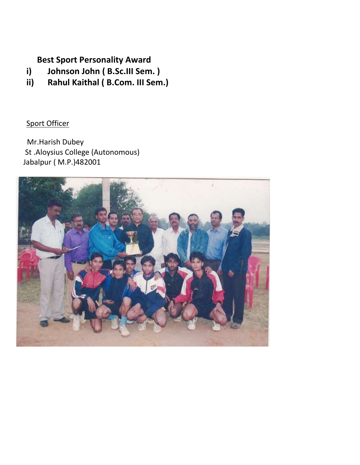## **Best Sport Personality Award**

- **i) Johnson John ( B.Sc.III Sem. )**
- **ii) Rahul Kaithal ( B.Com. III Sem.)**

Sport Officer

 Mr.Harish Dubey St .Aloysius College (Autonomous) Jabalpur ( M.P.)482001

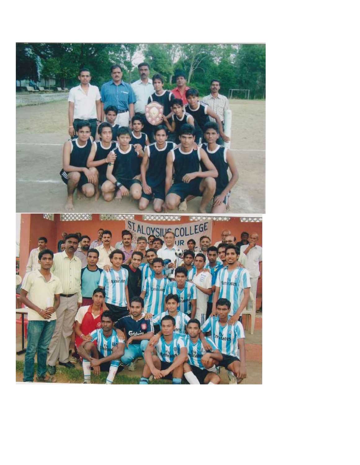